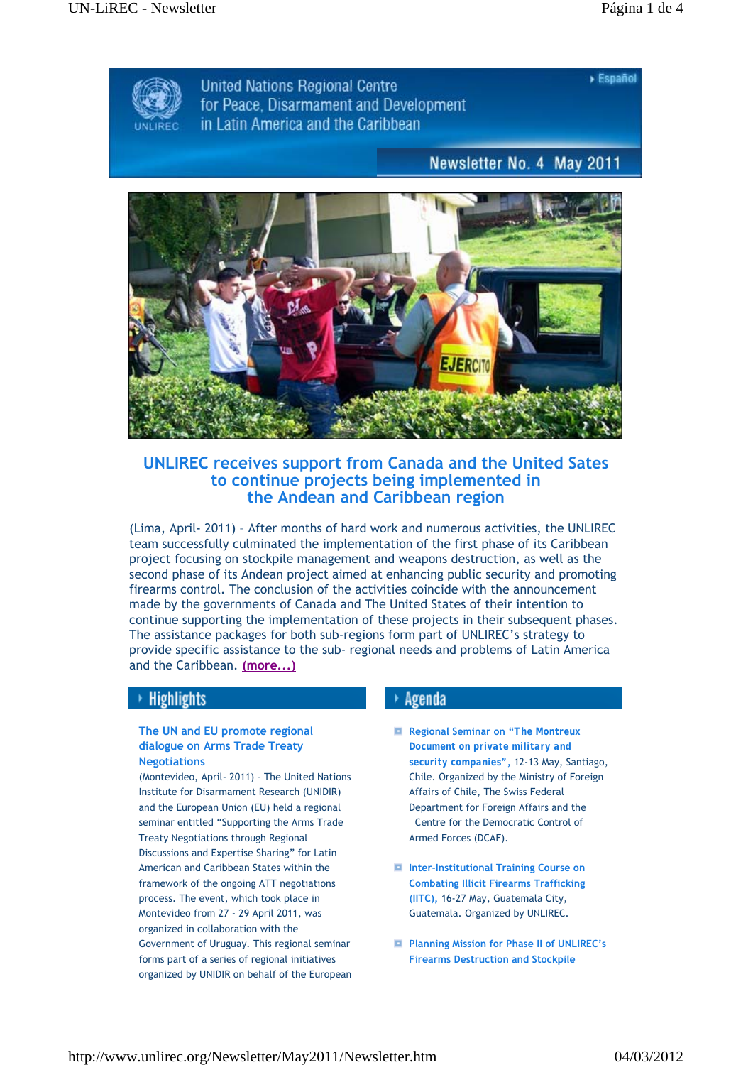$\triangleright$  Español



**United Nations Regional Centre** for Peace. Disarmament and Development in Latin America and the Caribbean

# Newsletter No. 4 May 2011



**UNLIREC receives support from Canada and the United Sates to continue projects being implemented in the Andean and Caribbean region**

(Lima, April- 2011) – After months of hard work and numerous activities, the UNLIREC team successfully culminated the implementation of the first phase of its Caribbean project focusing on stockpile management and weapons destruction, as well as the second phase of its Andean project aimed at enhancing public security and promoting firearms control. The conclusion of the activities coincide with the announcement made by the governments of Canada and The United States of their intention to continue supporting the implementation of these projects in their subsequent phases. The assistance packages for both sub-regions form part of UNLIREC's strategy to provide specific assistance to the sub- regional needs and problems of Latin America and the Caribbean. **(more...)**

## **Highlights**

### **The UN and EU promote regional dialogue on Arms Trade Treaty Negotiations**

(Montevideo, April- 2011) – The United Nations Institute for Disarmament Research (UNIDIR) and the European Union (EU) held a regional seminar entitled "Supporting the Arms Trade Treaty Negotiations through Regional Discussions and Expertise Sharing" for Latin American and Caribbean States within the framework of the ongoing ATT negotiations process. The event, which took place in Montevideo from 27 - 29 April 2011, was organized in collaboration with the Government of Uruguay. This regional seminar forms part of a series of regional initiatives organized by UNIDIR on behalf of the European

## $\rightarrow$  Agenda

- **Regional Seminar on "***The Montreux Document on private military and security companies"***,** 12-13 May, Santiago, Chile. Organized by the Ministry of Foreign Affairs of Chile, The Swiss Federal Department for Foreign Affairs and the Centre for the Democratic Control of Armed Forces (DCAF).
- **Inter-Institutional Training Course on Combating Illicit Firearms Trafficking (IITC),** 16-27 May, Guatemala City, Guatemala. Organized by UNLIREC.
- **Planning Mission for Phase II of UNLIREC's Firearms Destruction and Stockpile**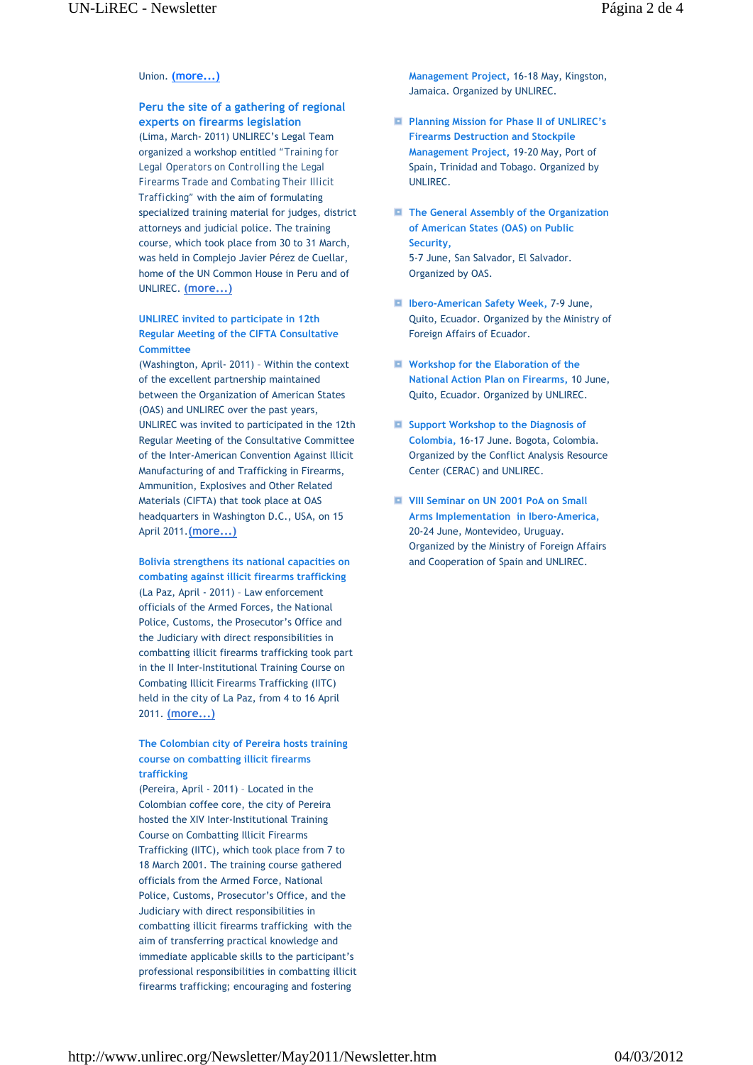### Union. **(more...)**

**Peru the site of a gathering of regional experts on firearms legislation**  (Lima, March- 2011) UNLIREC's Legal Team organized a workshop entitled *"Training for Legal Operators on Controlling the Legal Firearms Trade and Combating Their Illicit Trafficking"* with the aim of formulating specialized training material for judges, district attorneys and judicial police. The training course, which took place from 30 to 31 March, was held in Complejo Javier Pérez de Cuellar, home of the UN Common House in Peru and of UNLIREC. **(more...)**

#### **UNLIREC invited to participate in 12th Regular Meeting of the CIFTA Consultative Committee**

(Washington, April- 2011) – Within the context of the excellent partnership maintained between the Organization of American States (OAS) and UNLIREC over the past years, UNLIREC was invited to participated in the 12th Regular Meeting of the Consultative Committee of the Inter-American Convention Against Illicit Manufacturing of and Trafficking in Firearms, Ammunition, Explosives and Other Related Materials (CIFTA) that took place at OAS headquarters in Washington D.C., USA, on 15 April 2011.**(more...)**

**Bolivia strengthens its national capacities on combating against illicit firearms trafficking**  (La Paz, April - 2011) – Law enforcement officials of the Armed Forces, the National Police, Customs, the Prosecutor's Office and the Judiciary with direct responsibilities in combatting illicit firearms trafficking took part in the II Inter-Institutional Training Course on Combating Illicit Firearms Trafficking (IITC) held in the city of La Paz, from 4 to 16 April 2011. **(more...)**

**The Colombian city of Pereira hosts training course on combatting illicit firearms trafficking** 

(Pereira, April - 2011) – Located in the Colombian coffee core, the city of Pereira hosted the XIV Inter-Institutional Training Course on Combatting Illicit Firearms Trafficking (IITC), which took place from 7 to 18 March 2001. The training course gathered officials from the Armed Force, National Police, Customs, Prosecutor's Office, and the Judiciary with direct responsibilities in combatting illicit firearms trafficking with the aim of transferring practical knowledge and immediate applicable skills to the participant's professional responsibilities in combatting illicit firearms trafficking; encouraging and fostering

**Management Project,** 16-18 May, Kingston, Jamaica. Organized by UNLIREC.

- **Planning Mission for Phase II of UNLIREC's Firearms Destruction and Stockpile Management Project,** 19-20 May, Port of Spain, Trinidad and Tobago. Organized by UNLIREC.
- **The General Assembly of the Organization of American States (OAS) on Public Security,** 5-7 June, San Salvador, El Salvador. Organized by OAS.
- **Ibero-American Safety Week,** 7-9 June, Quito, Ecuador. Organized by the Ministry of Foreign Affairs of Ecuador.
- **Workshop for the Elaboration of the National Action Plan on Firearms,** 10 June, Quito, Ecuador. Organized by UNLIREC.
- $\blacksquare$  Support Workshop to the Diagnosis of **Colombia,** 16-17 June. Bogota, Colombia. Organized by the Conflict Analysis Resource Center (CERAC) and UNLIREC.
- **VIII Seminar on UN 2001 PoA on Small Arms Implementation in Ibero-America,**  20-24 June, Montevideo, Uruguay. Organized by the Ministry of Foreign Affairs and Cooperation of Spain and UNLIREC.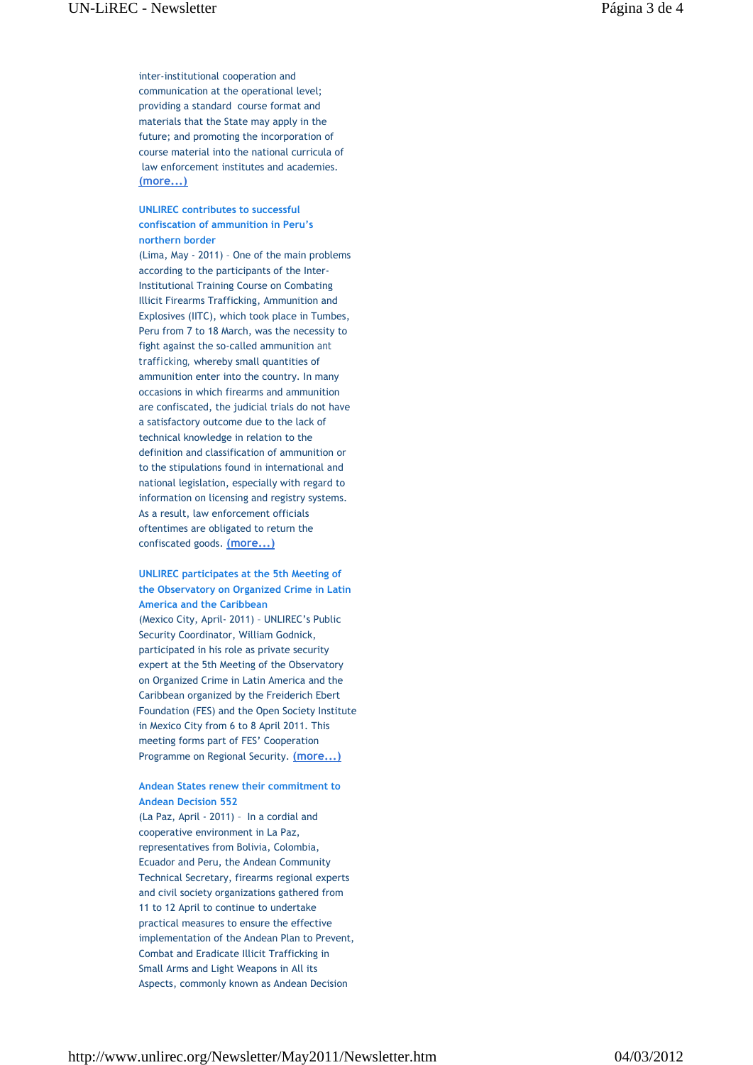inter-institutional cooperation and communication at the operational level; providing a standard course format and materials that the State may apply in the future; and promoting the incorporation of course material into the national curricula of law enforcement institutes and academies. **(more...)**

### **UNLIREC contributes to successful confiscation of ammunition in Peru's northern border**

(Lima, May - 2011) – One of the main problems according to the participants of the Inter-Institutional Training Course on Combating Illicit Firearms Trafficking, Ammunition and Explosives (IITC), which took place in Tumbes, Peru from 7 to 18 March, was the necessity to fight against the so-called ammunition *ant trafficking,* whereby small quantities of ammunition enter into the country. In many occasions in which firearms and ammunition are confiscated, the judicial trials do not have a satisfactory outcome due to the lack of technical knowledge in relation to the definition and classification of ammunition or to the stipulations found in international and national legislation, especially with regard to information on licensing and registry systems. As a result, law enforcement officials oftentimes are obligated to return the confiscated goods. **(more...)**

### **UNLIREC participates at the 5th Meeting of the Observatory on Organized Crime in Latin America and the Caribbean** (Mexico City, April- 2011) – UNLIREC's Public Security Coordinator, William Godnick, participated in his role as private security expert at the 5th Meeting of the Observatory on Organized Crime in Latin America and the Caribbean organized by the Freiderich Ebert Foundation (FES) and the Open Society Institute in Mexico City from 6 to 8 April 2011. This meeting forms part of FES' Cooperation Programme on Regional Security. **(more...)**

#### **Andean States renew their commitment to Andean Decision 552**

(La Paz, April - 2011) – In a cordial and cooperative environment in La Paz, representatives from Bolivia, Colombia, Ecuador and Peru, the Andean Community Technical Secretary, firearms regional experts and civil society organizations gathered from 11 to 12 April to continue to undertake practical measures to ensure the effective implementation of the Andean Plan to Prevent, Combat and Eradicate Illicit Trafficking in Small Arms and Light Weapons in All its Aspects, commonly known as Andean Decision